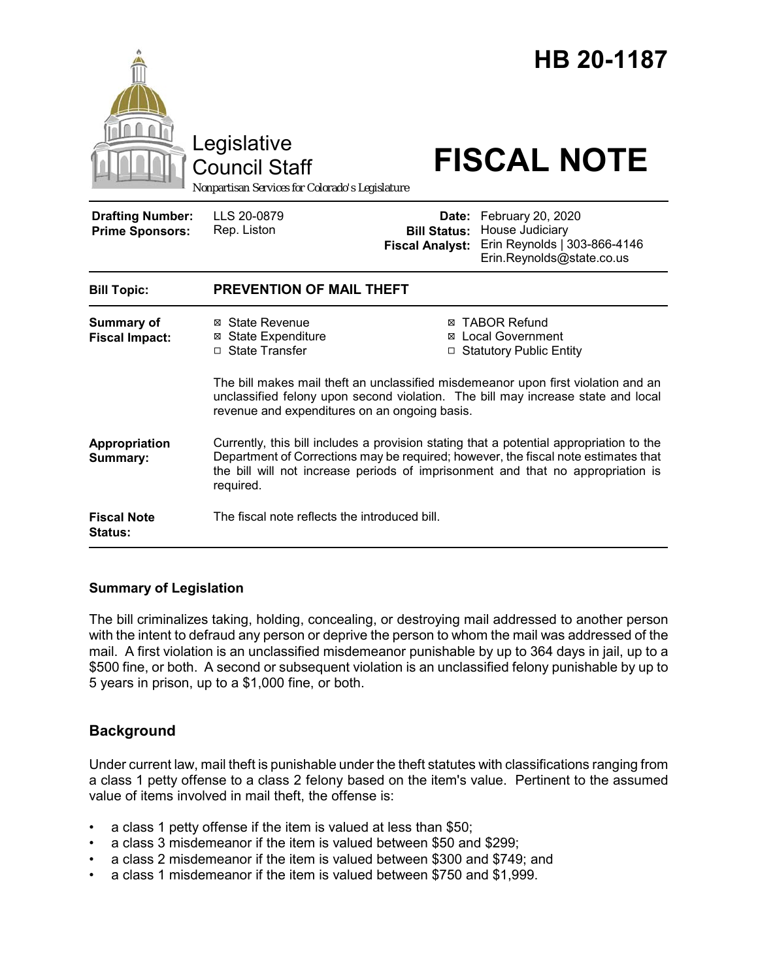

#### **Summary of Legislation**

The bill criminalizes taking, holding, concealing, or destroying mail addressed to another person with the intent to defraud any person or deprive the person to whom the mail was addressed of the mail. A first violation is an unclassified misdemeanor punishable by up to 364 days in jail, up to a \$500 fine, or both. A second or subsequent violation is an unclassified felony punishable by up to 5 years in prison, up to a \$1,000 fine, or both.

## **Background**

Under current law, mail theft is punishable under the theft statutes with classifications ranging from a class 1 petty offense to a class 2 felony based on the item's value. Pertinent to the assumed value of items involved in mail theft, the offense is:

- a class 1 petty offense if the item is valued at less than \$50;
- a class 3 misdemeanor if the item is valued between \$50 and \$299;
- a class 2 misdemeanor if the item is valued between \$300 and \$749; and
- a class 1 misdemeanor if the item is valued between \$750 and \$1,999.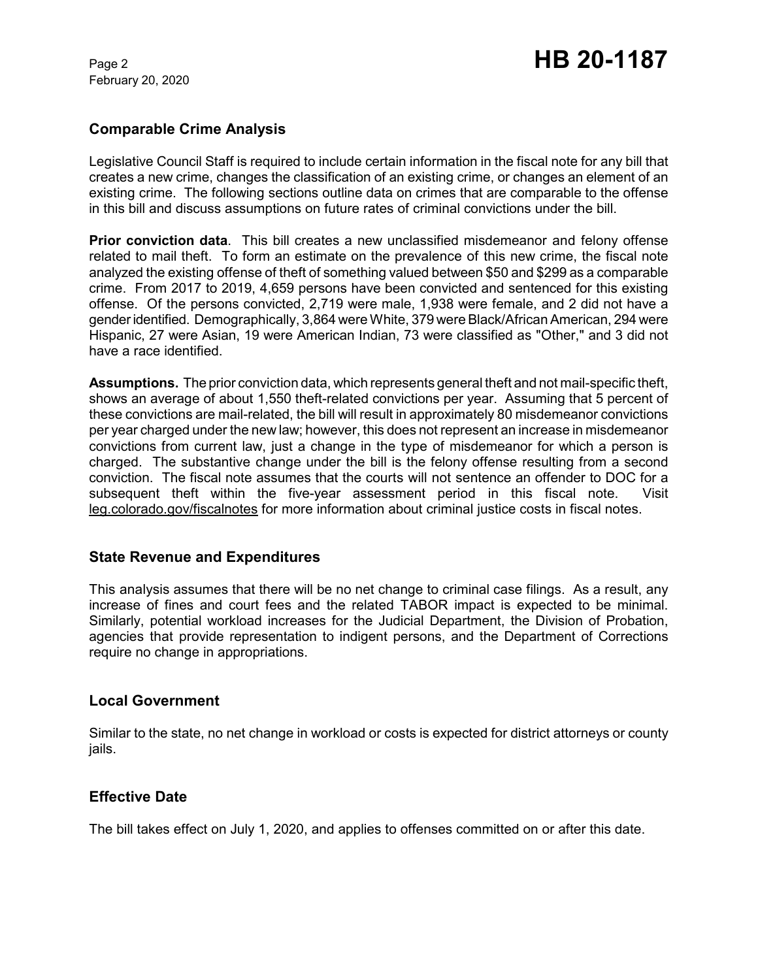February 20, 2020

# Page 2 **HB 20-1187**

## **Comparable Crime Analysis**

Legislative Council Staff is required to include certain information in the fiscal note for any bill that creates a new crime, changes the classification of an existing crime, or changes an element of an existing crime. The following sections outline data on crimes that are comparable to the offense in this bill and discuss assumptions on future rates of criminal convictions under the bill.

**Prior conviction data**. This bill creates a new unclassified misdemeanor and felony offense related to mail theft. To form an estimate on the prevalence of this new crime, the fiscal note analyzed the existing offense of theft of something valued between \$50 and \$299 as a comparable crime. From 2017 to 2019, 4,659 persons have been convicted and sentenced for this existing offense. Of the persons convicted, 2,719 were male, 1,938 were female, and 2 did not have a gender identified. Demographically, 3,864 were White, 379 were Black/African American, 294 were Hispanic, 27 were Asian, 19 were American Indian, 73 were classified as "Other," and 3 did not have a race identified.

**Assumptions.** The prior conviction data, which represents general theft and not mail-specific theft, shows an average of about 1,550 theft-related convictions per year. Assuming that 5 percent of these convictions are mail-related, the bill will result in approximately 80 misdemeanor convictions per year charged under the new law; however, this does not represent an increase in misdemeanor convictions from current law, just a change in the type of misdemeanor for which a person is charged. The substantive change under the bill is the felony offense resulting from a second conviction. The fiscal note assumes that the courts will not sentence an offender to DOC for a subsequent theft within the five-year assessment period in this fiscal note. Visit leg.colorado.gov/fiscalnotes for more information about criminal justice costs in fiscal notes.

## **State Revenue and Expenditures**

This analysis assumes that there will be no net change to criminal case filings. As a result, any increase of fines and court fees and the related TABOR impact is expected to be minimal. Similarly, potential workload increases for the Judicial Department, the Division of Probation, agencies that provide representation to indigent persons, and the Department of Corrections require no change in appropriations.

## **Local Government**

Similar to the state, no net change in workload or costs is expected for district attorneys or county jails.

## **Effective Date**

The bill takes effect on July 1, 2020, and applies to offenses committed on or after this date.